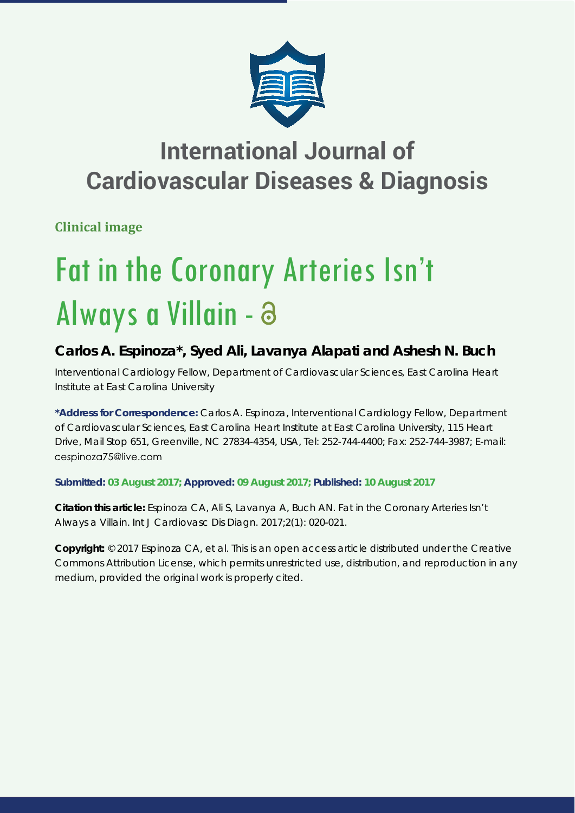

# **International Journal of Cardiovascular Diseases & Diagnosis**

**Clinical image**

# Fat in the Coronary Arteries Isn't Always a Villain -

## **Carlos A. Espinoza\*, Syed Ali, Lavanya Alapati and Ashesh N. Buch**

*Interventional Cardiology Fellow, Department of Cardiovascular Sciences, East Carolina Heart Institute at East Carolina University*

**\*Address for Correspondence:** Carlos A. Espinoza, Interventional Cardiology Fellow, Department of Cardiovascular Sciences, East Carolina Heart Institute at East Carolina University, 115 Heart Drive, Mail Stop 651, Greenville, NC 27834-4354, USA, Tel: 252-744-4400; Fax: 252-744-3987; E-mail: cespinoza75@live.com

### **Submitted: 03 August 2017; Approved: 09 August 2017; Published: 10 August 2017**

**Citation this article:** Espinoza CA, Ali S, Lavanya A, Buch AN. Fat in the Coronary Arteries Isn't Always a Villain. Int J Cardiovasc Dis Diagn. 2017;2(1): 020-021.

**Copyright:** © 2017 Espinoza CA, et al. This is an open access article distributed under the Creative Commons Attribution License, which permits unrestricted use, distribution, and reproduction in any medium, provided the original work is properly cited.